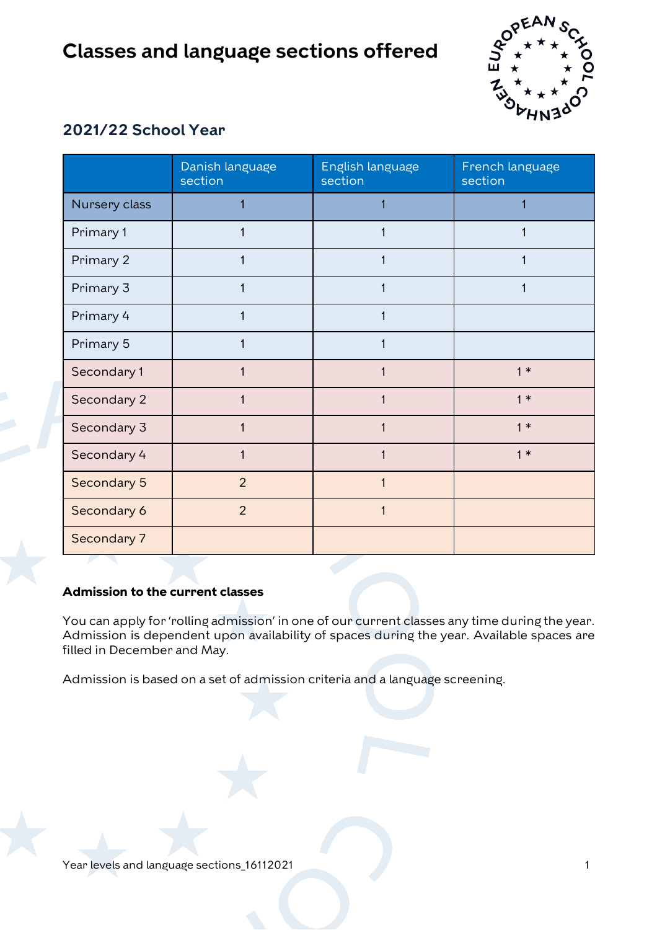

## **2021/22 School Year**

|               | Danish language<br>section | English language<br>section | French language<br>section |
|---------------|----------------------------|-----------------------------|----------------------------|
| Nursery class |                            |                             |                            |
| Primary 1     |                            |                             |                            |
| Primary 2     |                            |                             |                            |
| Primary 3     |                            |                             |                            |
| Primary 4     | 1                          |                             |                            |
| Primary 5     |                            |                             |                            |
| Secondary 1   |                            |                             | $1*$                       |
| Secondary 2   |                            |                             | $1*$                       |
| Secondary 3   |                            |                             | $1*$                       |
| Secondary 4   | 1                          |                             | $1*$                       |
| Secondary 5   | $\overline{2}$             |                             |                            |
| Secondary 6   | $\overline{2}$             |                             |                            |
| Secondary 7   |                            |                             |                            |

## **Admission to the current classes**

You can apply for 'rolling admission' in one of our current classes any time during the year. Admission is dependent upon availability of spaces during the year. Available spaces are filled in December and May.

Admission is based on a set of admission criteria and a language screening.